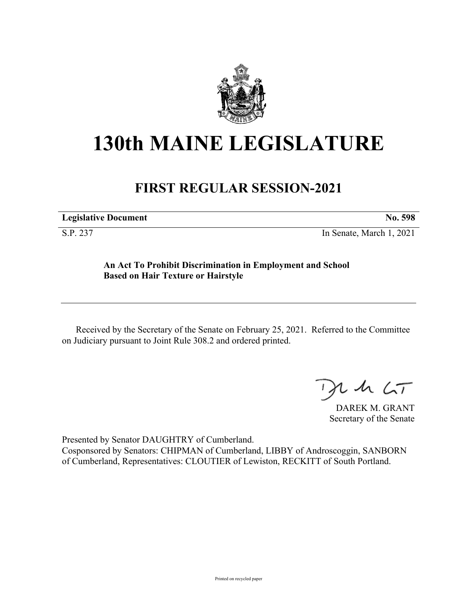

## **130th MAINE LEGISLATURE**

## **FIRST REGULAR SESSION-2021**

**Legislative Document No. 598**

S.P. 237 In Senate, March 1, 2021

## **An Act To Prohibit Discrimination in Employment and School Based on Hair Texture or Hairstyle**

Received by the Secretary of the Senate on February 25, 2021. Referred to the Committee on Judiciary pursuant to Joint Rule 308.2 and ordered printed.

 $125$ 

DAREK M. GRANT Secretary of the Senate

Presented by Senator DAUGHTRY of Cumberland. Cosponsored by Senators: CHIPMAN of Cumberland, LIBBY of Androscoggin, SANBORN of Cumberland, Representatives: CLOUTIER of Lewiston, RECKITT of South Portland.